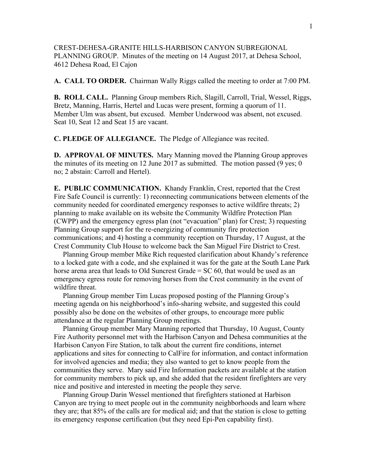CREST-DEHESA-GRANITE HILLS-HARBISON CANYON SUBREGIONAL PLANNING GROUP. Minutes of the meeting on 14 August 2017, at Dehesa School, 4612 Dehesa Road, El Cajon

**A. CALL TO ORDER.** Chairman Wally Riggs called the meeting to order at 7:00 PM.

**B. ROLL CALL.** Planning Group members Rich, Slagill, Carroll, Trial, Wessel, Riggs, Bretz, Manning, Harris, Hertel and Lucas were present, forming a quorum of 11. Member Ulm was absent, but excused. Member Underwood was absent, not excused. Seat 10, Seat 12 and Seat 15 are vacant.

**C. PLEDGE OF ALLEGIANCE.** The Pledge of Allegiance was recited.

**D. APPROVAL OF MINUTES.** Mary Manning moved the Planning Group approves the minutes of its meeting on 12 June 2017 as submitted. The motion passed (9 yes; 0 no; 2 abstain: Carroll and Hertel).

**E. PUBLIC COMMUNICATION.** Khandy Franklin, Crest, reported that the Crest Fire Safe Council is currently: 1) reconnecting communications between elements of the community needed for coordinated emergency responses to active wildfire threats; 2) planning to make available on its website the Community Wildfire Protection Plan (CWPP) and the emergency egress plan (not "evacuation" plan) for Crest; 3) requesting Planning Group support for the re-energizing of community fire protection communications; and 4) hosting a community reception on Thursday, 17 August, at the Crest Community Club House to welcome back the San Miguel Fire District to Crest.

 Planning Group member Mike Rich requested clarification about Khandy's reference to a locked gate with a code, and she explained it was for the gate at the South Lane Park horse arena area that leads to Old Suncrest Grade = SC 60, that would be used as an emergency egress route for removing horses from the Crest community in the event of wildfire threat.

 Planning Group member Tim Lucas proposed posting of the Planning Group's meeting agenda on his neighborhood's info-sharing website, and suggested this could possibly also be done on the websites of other groups, to encourage more public attendance at the regular Planning Group meetings.

 Planning Group member Mary Manning reported that Thursday, 10 August, County Fire Authority personnel met with the Harbison Canyon and Dehesa communities at the Harbison Canyon Fire Station, to talk about the current fire conditions, internet applications and sites for connecting to CalFire for information, and contact information for involved agencies and media; they also wanted to get to know people from the communities they serve. Mary said Fire Information packets are available at the station for community members to pick up, and she added that the resident firefighters are very nice and positive and interested in meeting the people they serve.

 Planning Group Darin Wessel mentioned that firefighters stationed at Harbison Canyon are trying to meet people out in the community neighborhoods and learn where they are; that 85% of the calls are for medical aid; and that the station is close to getting its emergency response certification (but they need Epi-Pen capability first).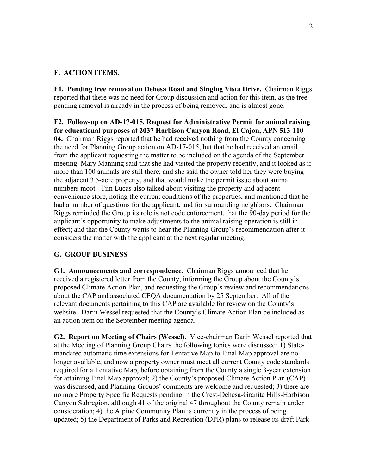## **F. ACTION ITEMS.**

**F1. Pending tree removal on Dehesa Road and Singing Vista Drive.** Chairman Riggs reported that there was no need for Group discussion and action for this item, as the tree pending removal is already in the process of being removed, and is almost gone.

**F2. Follow-up on AD-17-015, Request for Administrative Permit for animal raising for educational purposes at 2037 Harbison Canyon Road, El Cajon, APN 513-110- 04.** Chairman Riggs reported that he had received nothing from the County concerning the need for Planning Group action on AD-17-015, but that he had received an email from the applicant requesting the matter to be included on the agenda of the September meeting. Mary Manning said that she had visited the property recently, and it looked as if more than 100 animals are still there; and she said the owner told her they were buying the adjacent 3.5-acre property, and that would make the permit issue about animal numbers moot. Tim Lucas also talked about visiting the property and adjacent convenience store, noting the current conditions of the properties, and mentioned that he had a number of questions for the applicant, and for surrounding neighbors. Chairman Riggs reminded the Group its role is not code enforcement, that the 90-day period for the applicant's opportunity to make adjustments to the animal raising operation is still in effect; and that the County wants to hear the Planning Group's recommendation after it considers the matter with the applicant at the next regular meeting.

## **G. GROUP BUSINESS**

**G1. Announcements and correspondence.** Chairman Riggs announced that he received a registered letter from the County, informing the Group about the County's proposed Climate Action Plan, and requesting the Group's review and recommendations about the CAP and associated CEQA documentation by 25 September. All of the relevant documents pertaining to this CAP are available for review on the County's website. Darin Wessel requested that the County's Climate Action Plan be included as an action item on the September meeting agenda.

**G2. Report on Meeting of Chairs (Wessel).** Vice-chairman Darin Wessel reported that at the Meeting of Planning Group Chairs the following topics were discussed: 1) Statemandated automatic time extensions for Tentative Map to Final Map approval are no longer available, and now a property owner must meet all current County code standards required for a Tentative Map, before obtaining from the County a single 3-year extension for attaining Final Map approval; 2) the County's proposed Climate Action Plan (CAP) was discussed, and Planning Groups' comments are welcome and requested; 3) there are no more Property Specific Requests pending in the Crest-Dehesa-Granite Hills-Harbison Canyon Subregion, although 41 of the original 47 throughout the County remain under consideration; 4) the Alpine Community Plan is currently in the process of being updated; 5) the Department of Parks and Recreation (DPR) plans to release its draft Park